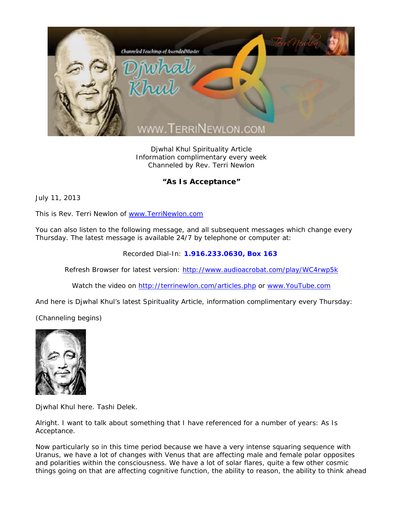

Djwhal Khul Spirituality Article Information complimentary every week Channeled by Rev. Terri Newlon

## **"As Is Acceptance"**

July 11, 2013

This is Rev. Terri Newlon of www.TerriNewlon.com

You can also listen to the following message, and all subsequent messages which change every Thursday. The latest message is available 24/7 by telephone or computer at:

Recorded Dial-In: **1.916.233.0630, Box 163** 

Refresh Browser for latest version: http://www.audioacrobat.com/play/WC4rwp5k

Watch the video on http://terrinewlon.com/articles.php or www.YouTube.com

And here is Djwhal Khul's latest Spirituality Article, information complimentary every Thursday:

(Channeling begins)



Djwhal Khul here. Tashi Delek.

Alright. I want to talk about something that I have referenced for a number of years: As Is Acceptance.

Now particularly so in this time period because we have a very intense squaring sequence with Uranus, we have a lot of changes with Venus that are affecting male and female polar opposites and polarities within the consciousness. We have a lot of solar flares, quite a few other cosmic things going on that are affecting cognitive function, the ability to reason, the ability to think ahead